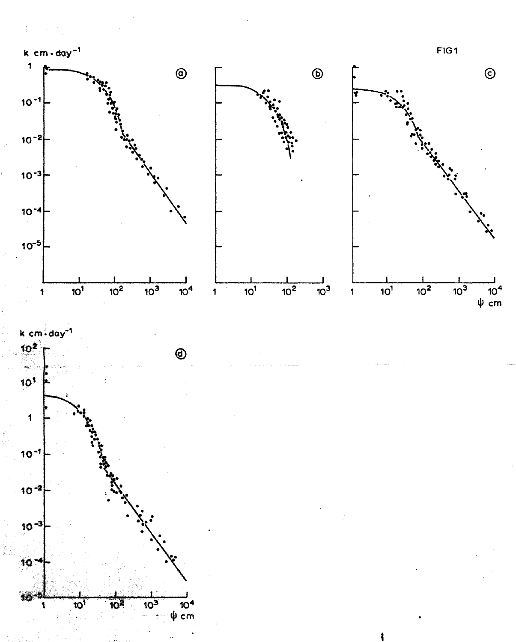

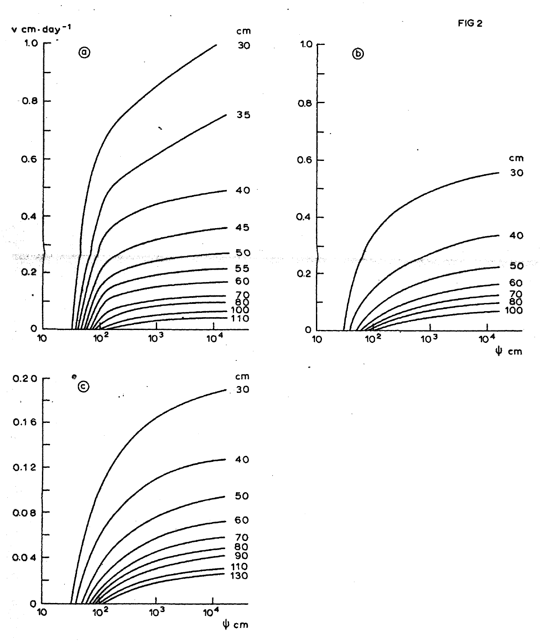



FIG<sub>2</sub>

 $\Psi$  cm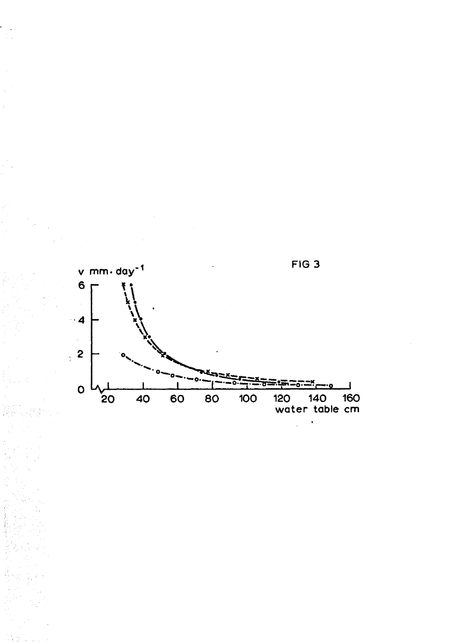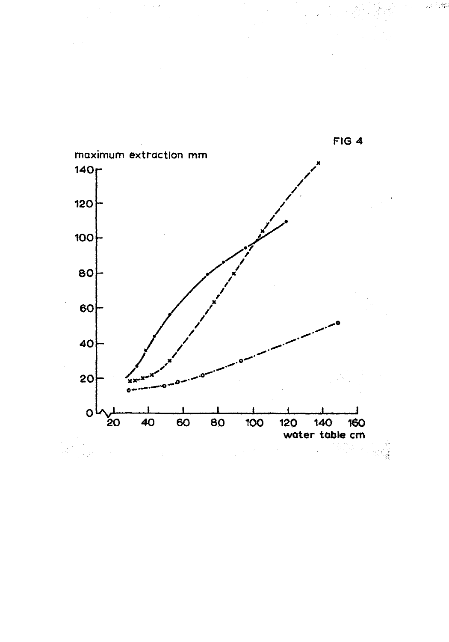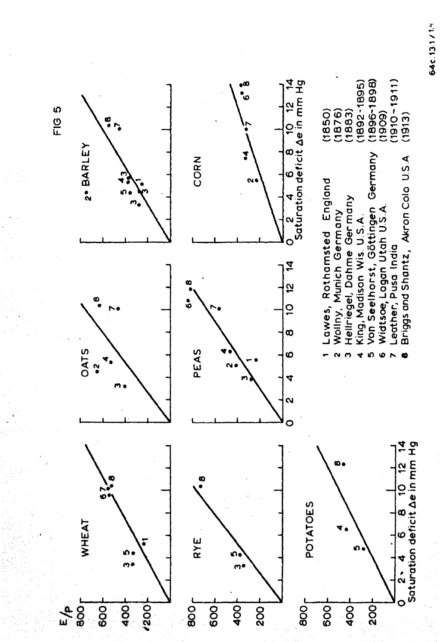

64c.13.1/14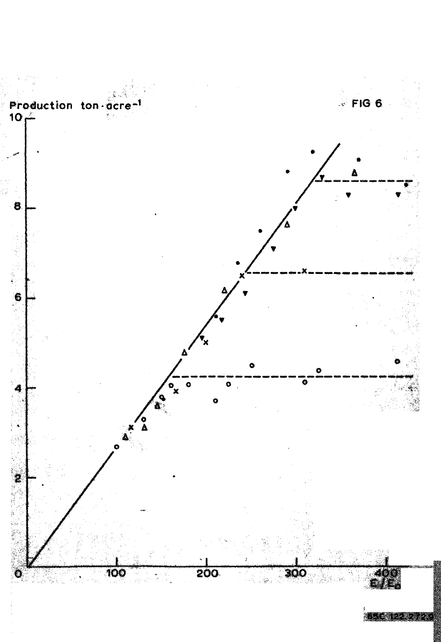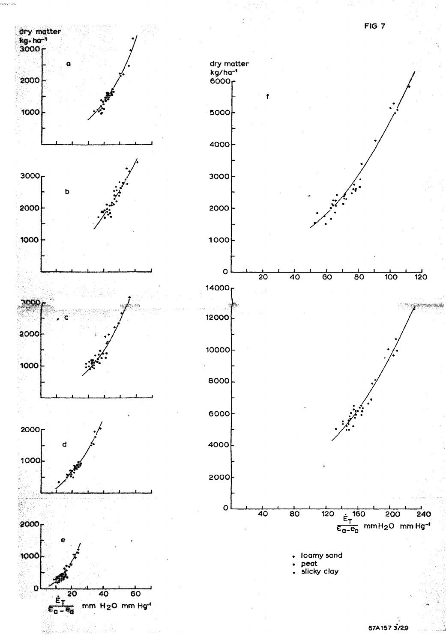



d

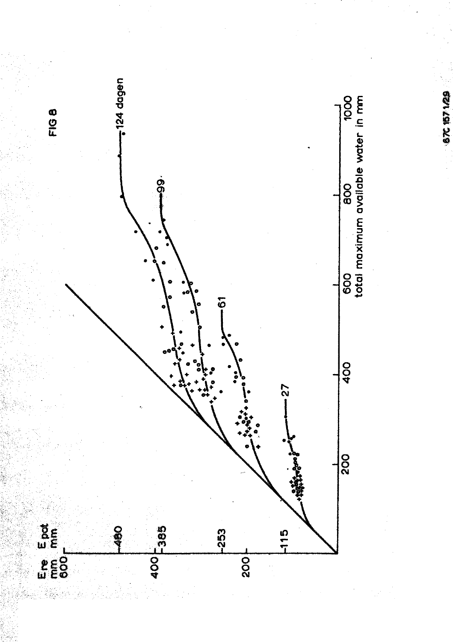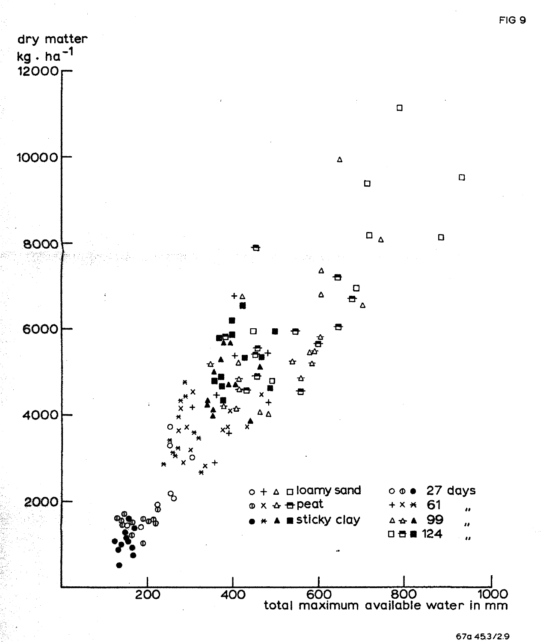

67a 45.3/2.9

FIG 9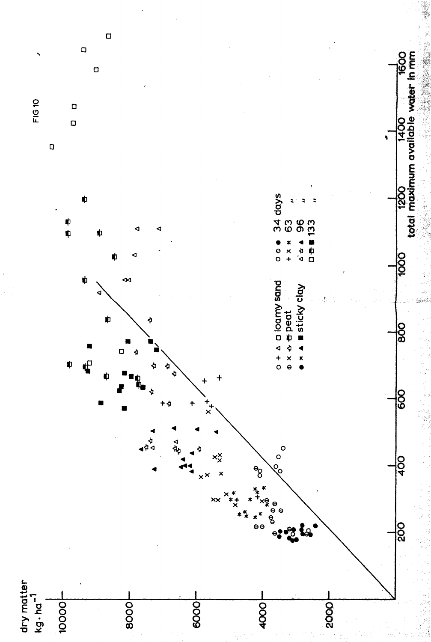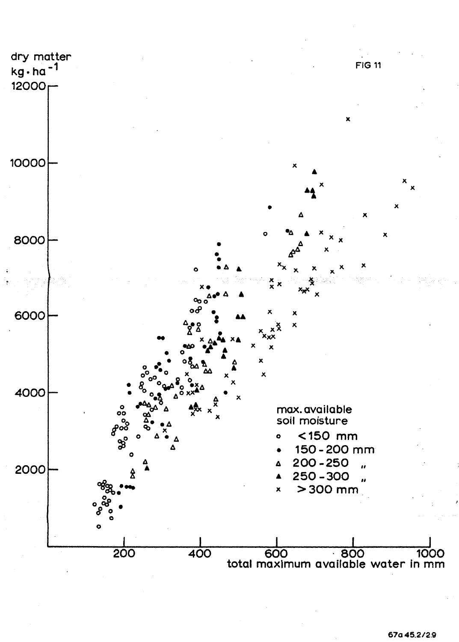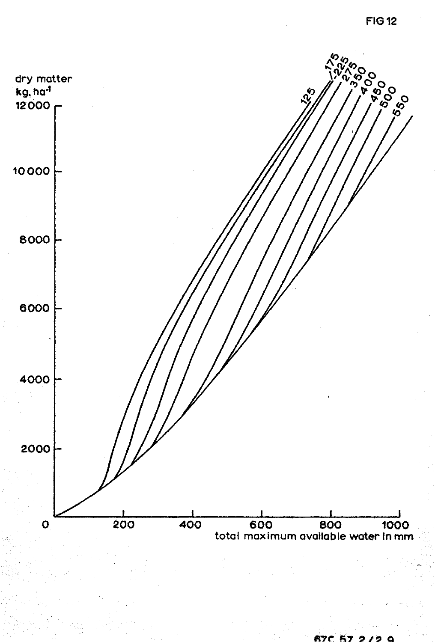